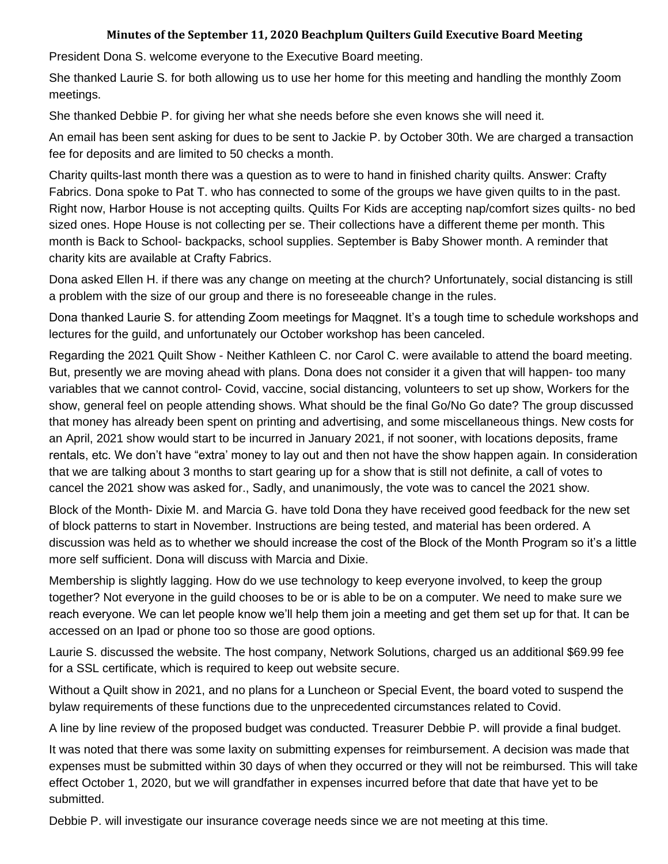## **Minutes of the September 11, 2020 Beachplum Quilters Guild Executive Board Meeting**

President Dona S. welcome everyone to the Executive Board meeting.

She thanked Laurie S. for both allowing us to use her home for this meeting and handling the monthly Zoom meetings.

She thanked Debbie P. for giving her what she needs before she even knows she will need it.

An email has been sent asking for dues to be sent to Jackie P. by October 30th. We are charged a transaction fee for deposits and are limited to 50 checks a month.

Charity quilts-last month there was a question as to were to hand in finished charity quilts. Answer: Crafty Fabrics. Dona spoke to Pat T. who has connected to some of the groups we have given quilts to in the past. Right now, Harbor House is not accepting quilts. Quilts For Kids are accepting nap/comfort sizes quilts- no bed sized ones. Hope House is not collecting per se. Their collections have a different theme per month. This month is Back to School- backpacks, school supplies. September is Baby Shower month. A reminder that charity kits are available at Crafty Fabrics.

Dona asked Ellen H. if there was any change on meeting at the church? Unfortunately, social distancing is still a problem with the size of our group and there is no foreseeable change in the rules.

Dona thanked Laurie S. for attending Zoom meetings for Maqgnet. It's a tough time to schedule workshops and lectures for the guild, and unfortunately our October workshop has been canceled.

Regarding the 2021 Quilt Show - Neither Kathleen C. nor Carol C. were available to attend the board meeting. But, presently we are moving ahead with plans. Dona does not consider it a given that will happen- too many variables that we cannot control- Covid, vaccine, social distancing, volunteers to set up show, Workers for the show, general feel on people attending shows. What should be the final Go/No Go date? The group discussed that money has already been spent on printing and advertising, and some miscellaneous things. New costs for an April, 2021 show would start to be incurred in January 2021, if not sooner, with locations deposits, frame rentals, etc. We don't have "extra' money to lay out and then not have the show happen again. In consideration that we are talking about 3 months to start gearing up for a show that is still not definite, a call of votes to cancel the 2021 show was asked for., Sadly, and unanimously, the vote was to cancel the 2021 show.

Block of the Month- Dixie M. and Marcia G. have told Dona they have received good feedback for the new set of block patterns to start in November. Instructions are being tested, and material has been ordered. A discussion was held as to whether we should increase the cost of the Block of the Month Program so it's a little more self sufficient. Dona will discuss with Marcia and Dixie.

Membership is slightly lagging. How do we use technology to keep everyone involved, to keep the group together? Not everyone in the guild chooses to be or is able to be on a computer. We need to make sure we reach everyone. We can let people know we'll help them join a meeting and get them set up for that. It can be accessed on an Ipad or phone too so those are good options.

Laurie S. discussed the website. The host company, Network Solutions, charged us an additional \$69.99 fee for a SSL certificate, which is required to keep out website secure.

Without a Quilt show in 2021, and no plans for a Luncheon or Special Event, the board voted to suspend the bylaw requirements of these functions due to the unprecedented circumstances related to Covid.

A line by line review of the proposed budget was conducted. Treasurer Debbie P. will provide a final budget.

It was noted that there was some laxity on submitting expenses for reimbursement. A decision was made that expenses must be submitted within 30 days of when they occurred or they will not be reimbursed. This will take effect October 1, 2020, but we will grandfather in expenses incurred before that date that have yet to be submitted.

Debbie P. will investigate our insurance coverage needs since we are not meeting at this time.